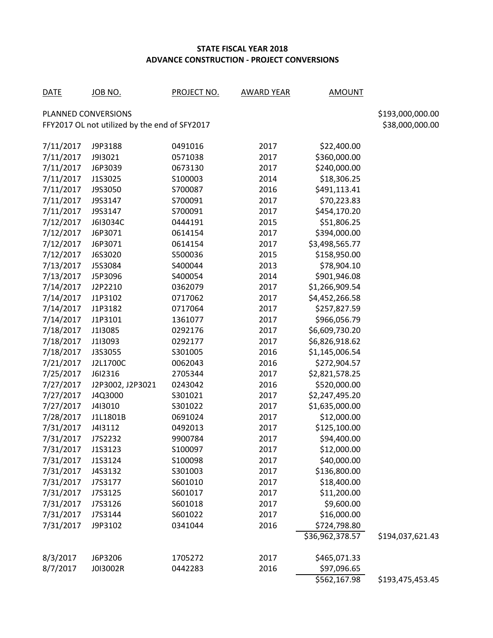## **STATE FISCAL YEAR 2018 ADVANCE CONSTRUCTION - PROJECT CONVERSIONS**

| <b>DATE</b>                                                      | <u>JOB NO.</u>   | <b>PROJECT NO.</b> | <b>AWARD YEAR</b> | <b>AMOUNT</b>   |                  |  |  |  |  |  |
|------------------------------------------------------------------|------------------|--------------------|-------------------|-----------------|------------------|--|--|--|--|--|
| PLANNED CONVERSIONS                                              | \$193,000,000.00 |                    |                   |                 |                  |  |  |  |  |  |
| FFY2017 OL not utilized by the end of SFY2017<br>\$38,000,000.00 |                  |                    |                   |                 |                  |  |  |  |  |  |
| 7/11/2017                                                        | J9P3188          | 0491016            | 2017              | \$22,400.00     |                  |  |  |  |  |  |
| 7/11/2017                                                        | J9I3021          | 0571038            | 2017              | \$360,000.00    |                  |  |  |  |  |  |
| 7/11/2017                                                        | J6P3039          | 0673130            | 2017              | \$240,000.00    |                  |  |  |  |  |  |
| 7/11/2017                                                        | J1S3025          | S100003            | 2014              | \$18,306.25     |                  |  |  |  |  |  |
| 7/11/2017                                                        | J9S3050          | S700087            | 2016              | \$491,113.41    |                  |  |  |  |  |  |
| 7/11/2017                                                        | J9S3147          | S700091            | 2017              | \$70,223.83     |                  |  |  |  |  |  |
| 7/11/2017                                                        | J9S3147          | S700091            | 2017              | \$454,170.20    |                  |  |  |  |  |  |
| 7/12/2017                                                        | J6I3034C         | 0444191            | 2015              | \$51,806.25     |                  |  |  |  |  |  |
| 7/12/2017                                                        | J6P3071          | 0614154            | 2017              | \$394,000.00    |                  |  |  |  |  |  |
| 7/12/2017                                                        | J6P3071          | 0614154            | 2017              | \$3,498,565.77  |                  |  |  |  |  |  |
| 7/12/2017                                                        | J6S3020          | S500036            | 2015              | \$158,950.00    |                  |  |  |  |  |  |
| 7/13/2017                                                        | J5S3084          | S400044            | 2013              | \$78,904.10     |                  |  |  |  |  |  |
| 7/13/2017                                                        | J5P3096          | S400054            | 2014              | \$901,946.08    |                  |  |  |  |  |  |
| 7/14/2017                                                        | J2P2210          | 0362079            | 2017              | \$1,266,909.54  |                  |  |  |  |  |  |
| 7/14/2017                                                        | J1P3102          | 0717062            | 2017              | \$4,452,266.58  |                  |  |  |  |  |  |
| 7/14/2017                                                        | J1P3182          | 0717064            | 2017              | \$257,827.59    |                  |  |  |  |  |  |
| 7/14/2017                                                        | J1P3101          | 1361077            | 2017              | \$966,056.79    |                  |  |  |  |  |  |
| 7/18/2017                                                        | J1I3085          | 0292176            | 2017              | \$6,609,730.20  |                  |  |  |  |  |  |
| 7/18/2017                                                        | J1I3093          | 0292177            | 2017              | \$6,826,918.62  |                  |  |  |  |  |  |
| 7/18/2017                                                        | J3S3055          | S301005            | 2016              | \$1,145,006.54  |                  |  |  |  |  |  |
| 7/21/2017                                                        | J2L1700C         | 0062043            | 2016              | \$272,904.57    |                  |  |  |  |  |  |
| 7/25/2017                                                        | J6I2316          | 2705344            | 2017              | \$2,821,578.25  |                  |  |  |  |  |  |
| 7/27/2017                                                        | J2P3002, J2P3021 | 0243042            | 2016              | \$520,000.00    |                  |  |  |  |  |  |
| 7/27/2017                                                        | J4Q3000          | S301021            | 2017              | \$2,247,495.20  |                  |  |  |  |  |  |
| 7/27/2017                                                        | J4I3010          | S301022            | 2017              | \$1,635,000.00  |                  |  |  |  |  |  |
| 7/28/2017                                                        | J1L1801B         | 0691024            | 2017              | \$12,000.00     |                  |  |  |  |  |  |
| 7/31/2017                                                        | J413112          | 0492013            | 2017              | \$125,100.00    |                  |  |  |  |  |  |
| 7/31/2017                                                        | J7S2232          | 9900784            | 2017              | \$94,400.00     |                  |  |  |  |  |  |
| 7/31/2017                                                        | J1S3123          | S100097            | 2017              | \$12,000.00     |                  |  |  |  |  |  |
| 7/31/2017                                                        | J1S3124          | S100098            | 2017              | \$40,000.00     |                  |  |  |  |  |  |
| 7/31/2017                                                        | J4S3132          | S301003            | 2017              | \$136,800.00    |                  |  |  |  |  |  |
| 7/31/2017                                                        | J7S3177          | S601010            | 2017              | \$18,400.00     |                  |  |  |  |  |  |
| 7/31/2017                                                        | J7S3125          | S601017            | 2017              | \$11,200.00     |                  |  |  |  |  |  |
| 7/31/2017                                                        | J7S3126          | S601018            | 2017              | \$9,600.00      |                  |  |  |  |  |  |
| 7/31/2017                                                        | J7S3144          | S601022            | 2017              | \$16,000.00     |                  |  |  |  |  |  |
| 7/31/2017                                                        | J9P3102          | 0341044            | 2016              | \$724,798.80    |                  |  |  |  |  |  |
|                                                                  |                  |                    |                   | \$36,962,378.57 | \$194,037,621.43 |  |  |  |  |  |
| 8/3/2017                                                         | J6P3206          | 1705272            | 2017              | \$465,071.33    |                  |  |  |  |  |  |
| 8/7/2017                                                         | J013002R         | 0442283            | 2016              | \$97,096.65     |                  |  |  |  |  |  |
|                                                                  |                  |                    |                   | \$562,167.98    | \$193,475,453.45 |  |  |  |  |  |